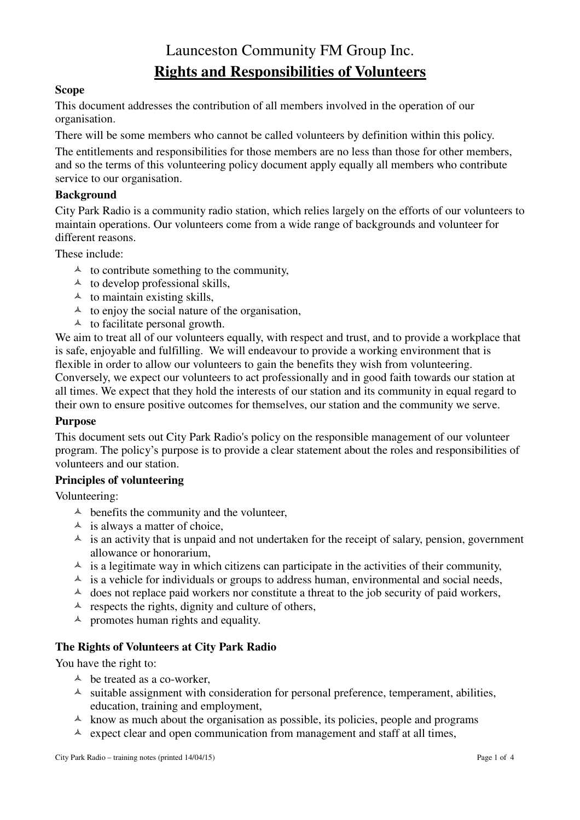# Launceston Community FM Group Inc. **Rights and Responsibilities of Volunteers**

#### **Scope**

This document addresses the contribution of all members involved in the operation of our organisation.

There will be some members who cannot be called volunteers by definition within this policy.

The entitlements and responsibilities for those members are no less than those for other members, and so the terms of this volunteering policy document apply equally all members who contribute service to our organisation.

#### **Background**

City Park Radio is a community radio station, which relies largely on the efforts of our volunteers to maintain operations. Our volunteers come from a wide range of backgrounds and volunteer for different reasons.

These include:

- $\uparrow$  to contribute something to the community,
- $\uparrow$  to develop professional skills,
- $\uparrow$  to maintain existing skills,
- $\uparrow$  to enjoy the social nature of the organisation,
- $\uparrow$  to facilitate personal growth.

We aim to treat all of our volunteers equally, with respect and trust, and to provide a workplace that is safe, enjoyable and fulfilling. We will endeavour to provide a working environment that is flexible in order to allow our volunteers to gain the benefits they wish from volunteering. Conversely, we expect our volunteers to act professionally and in good faith towards our station at all times. We expect that they hold the interests of our station and its community in equal regard to their own to ensure positive outcomes for themselves, our station and the community we serve.

#### **Purpose**

This document sets out City Park Radio's policy on the responsible management of our volunteer program. The policy's purpose is to provide a clear statement about the roles and responsibilities of volunteers and our station.

#### **Principles of volunteering**

Volunteering:

- $\triangle$  benefits the community and the volunteer,
- $\triangle$  is always a matter of choice,
- $\lambda$  is an activity that is unpaid and not undertaken for the receipt of salary, pension, government allowance or honorarium,
- $\lambda$  is a legitimate way in which citizens can participate in the activities of their community,
- $\triangle$  is a vehicle for individuals or groups to address human, environmental and social needs,
- $\lambda$  does not replace paid workers nor constitute a threat to the job security of paid workers,
- $\triangle$  respects the rights, dignity and culture of others,
- $\triangle$  promotes human rights and equality.

#### **The Rights of Volunteers at City Park Radio**

You have the right to:

- $\triangle$  be treated as a co-worker.
- $\lambda$  suitable assignment with consideration for personal preference, temperament, abilities, education, training and employment,
- $\uparrow$  know as much about the organisation as possible, its policies, people and programs
- $\triangle$  expect clear and open communication from management and staff at all times,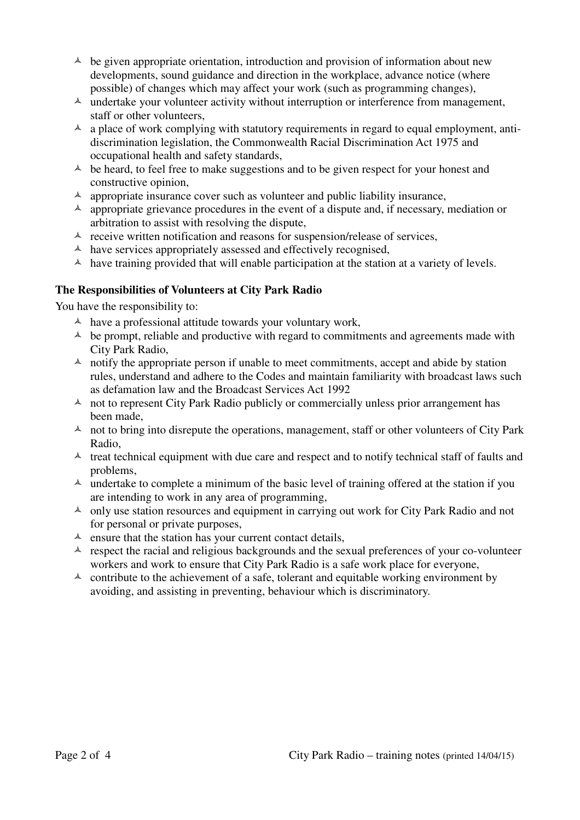- $\lambda$  be given appropriate orientation, introduction and provision of information about new developments, sound guidance and direction in the workplace, advance notice (where possible) of changes which may affect your work (such as programming changes),
- $\lambda$  undertake your volunteer activity without interruption or interference from management, staff or other volunteers,
- $\lambda$  a place of work complying with statutory requirements in regard to equal employment, antidiscrimination legislation, the Commonwealth Racial Discrimination Act 1975 and occupational health and safety standards,
- $\triangle$  be heard, to feel free to make suggestions and to be given respect for your honest and constructive opinion,
- $\lambda$  appropriate insurance cover such as volunteer and public liability insurance,
- $\triangle$  appropriate grievance procedures in the event of a dispute and, if necessary, mediation or arbitration to assist with resolving the dispute,
- $\lambda$  receive written notification and reasons for suspension/release of services,
- $\triangle$  have services appropriately assessed and effectively recognised,
- $\triangle$  have training provided that will enable participation at the station at a variety of levels.

#### **The Responsibilities of Volunteers at City Park Radio**

You have the responsibility to:

- $\uparrow$  have a professional attitude towards your voluntary work,
- $\triangle$  be prompt, reliable and productive with regard to commitments and agreements made with City Park Radio,
- $\uparrow$  notify the appropriate person if unable to meet commitments, accept and abide by station rules, understand and adhere to the Codes and maintain familiarity with broadcast laws such as defamation law and the Broadcast Services Act 1992
- $\uparrow$  not to represent City Park Radio publicly or commercially unless prior arrangement has been made,
- $\uparrow$  not to bring into disrepute the operations, management, staff or other volunteers of City Park Radio,
- $\uparrow$  treat technical equipment with due care and respect and to notify technical staff of faults and problems,
- $\lambda$  undertake to complete a minimum of the basic level of training offered at the station if you are intending to work in any area of programming,
- $\triangle$  only use station resources and equipment in carrying out work for City Park Radio and not for personal or private purposes,
- $\triangle$  ensure that the station has your current contact details,
- $\triangle$  respect the racial and religious backgrounds and the sexual preferences of your co-volunteer workers and work to ensure that City Park Radio is a safe work place for everyone,
- $\triangle$  contribute to the achievement of a safe, tolerant and equitable working environment by avoiding, and assisting in preventing, behaviour which is discriminatory.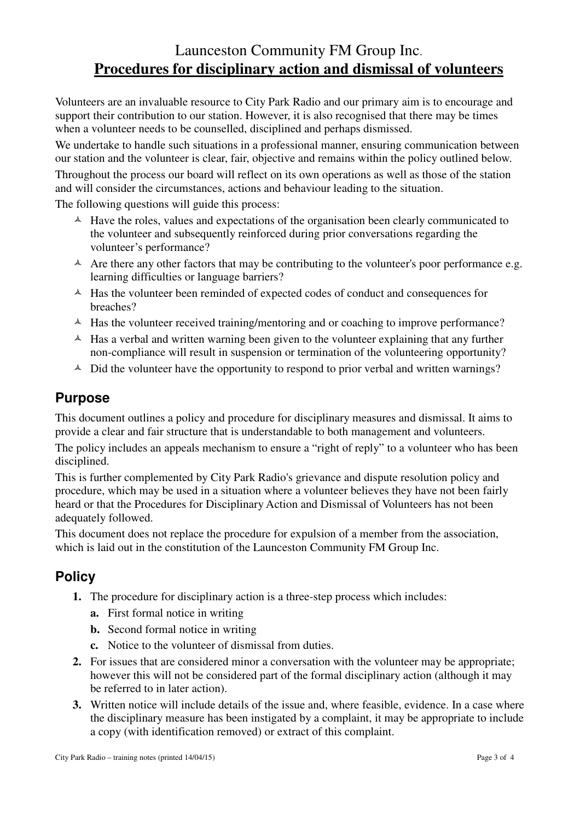## Launceston Community FM Group Inc. **Procedures for disciplinary action and dismissal of volunteers**

Volunteers are an invaluable resource to City Park Radio and our primary aim is to encourage and support their contribution to our station. However, it is also recognised that there may be times when a volunteer needs to be counselled, disciplined and perhaps dismissed.

We undertake to handle such situations in a professional manner, ensuring communication between our station and the volunteer is clear, fair, objective and remains within the policy outlined below. Throughout the process our board will reflect on its own operations as well as those of the station and will consider the circumstances, actions and behaviour leading to the situation.

The following questions will guide this process:

- $\triangle$  Have the roles, values and expectations of the organisation been clearly communicated to the volunteer and subsequently reinforced during prior conversations regarding the volunteer's performance?
- $\triangle$  Are there any other factors that may be contributing to the volunteer's poor performance e.g. learning difficulties or language barriers?
- $\triangle$  Has the volunteer been reminded of expected codes of conduct and consequences for breaches?
- $\uparrow$  Has the volunteer received training/mentoring and or coaching to improve performance?
- $\triangle$  Has a verbal and written warning been given to the volunteer explaining that any further non-compliance will result in suspension or termination of the volunteering opportunity?
- $\triangle$  Did the volunteer have the opportunity to respond to prior verbal and written warnings?

### **Purpose**

This document outlines a policy and procedure for disciplinary measures and dismissal. It aims to provide a clear and fair structure that is understandable to both management and volunteers.

The policy includes an appeals mechanism to ensure a "right of reply" to a volunteer who has been disciplined.

This is further complemented by City Park Radio's grievance and dispute resolution policy and procedure, which may be used in a situation where a volunteer believes they have not been fairly heard or that the Procedures for Disciplinary Action and Dismissal of Volunteers has not been adequately followed.

This document does not replace the procedure for expulsion of a member from the association, which is laid out in the constitution of the Launceston Community FM Group Inc.

### **Policy**

- **1.** The procedure for disciplinary action is a three-step process which includes:
	- **a.** First formal notice in writing
	- **b.** Second formal notice in writing
	- **c.** Notice to the volunteer of dismissal from duties.
- **2.** For issues that are considered minor a conversation with the volunteer may be appropriate; however this will not be considered part of the formal disciplinary action (although it may be referred to in later action).
- **3.** Written notice will include details of the issue and, where feasible, evidence. In a case where the disciplinary measure has been instigated by a complaint, it may be appropriate to include a copy (with identification removed) or extract of this complaint.